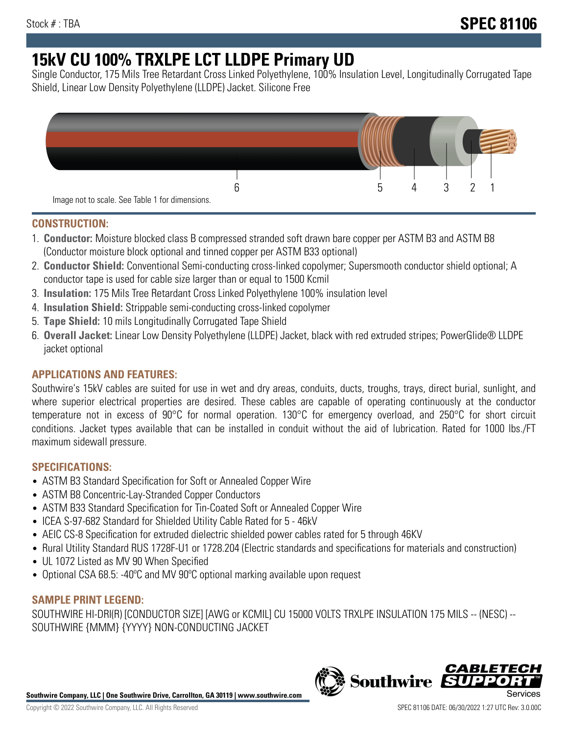# **15kV CU 100% TRXLPE LCT LLDPE Primary UD**

Single Conductor, 175 Mils Tree Retardant Cross Linked Polyethylene, 100% Insulation Level, Longitudinally Corrugated Tape Shield, Linear Low Density Polyethylene (LLDPE) Jacket. Silicone Free



## **CONSTRUCTION:**

- 1. **Conductor:** Moisture blocked class B compressed stranded soft drawn bare copper per ASTM B3 and ASTM B8 (Conductor moisture block optional and tinned copper per ASTM B33 optional)
- 2. **Conductor Shield:** Conventional Semi-conducting cross-linked copolymer; Supersmooth conductor shield optional; A conductor tape is used for cable size larger than or equal to 1500 Kcmil
- 3. **Insulation:** 175 Mils Tree Retardant Cross Linked Polyethylene 100% insulation level
- 4. **Insulation Shield:** Strippable semi-conducting cross-linked copolymer
- 5. **Tape Shield:** 10 mils Longitudinally Corrugated Tape Shield
- 6. **Overall Jacket:** Linear Low Density Polyethylene (LLDPE) Jacket, black with red extruded stripes; PowerGlide® LLDPE jacket optional

# **APPLICATIONS AND FEATURES:**

Southwire's 15kV cables are suited for use in wet and dry areas, conduits, ducts, troughs, trays, direct burial, sunlight, and where superior electrical properties are desired. These cables are capable of operating continuously at the conductor temperature not in excess of 90°C for normal operation. 130°C for emergency overload, and 250°C for short circuit conditions. Jacket types available that can be installed in conduit without the aid of lubrication. Rated for 1000 lbs./FT maximum sidewall pressure.

# **SPECIFICATIONS:**

- ASTM B3 Standard Specification for Soft or Annealed Copper Wire
- ASTM B8 Concentric-Lay-Stranded Copper Conductors
- ASTM B33 Standard Specification for Tin-Coated Soft or Annealed Copper Wire
- ICEA S-97-682 Standard for Shielded Utility Cable Rated for 5 46kV
- AEIC CS-8 Specification for extruded dielectric shielded power cables rated for 5 through 46KV
- Rural Utility Standard RUS 1728F-U1 or 1728.204 (Electric standards and specifications for materials and construction)
- UL 1072 Listed as MV 90 When Specified
- Optional CSA 68.5: -40ºC and MV 90ºC optional marking available upon request

## **SAMPLE PRINT LEGEND:**

SOUTHWIRE HI-DRI(R) [CONDUCTOR SIZE] [AWG or KCMIL] CU 15000 VOLTS TRXLPE INSULATION 175 MILS -- (NESC) -- SOUTHWIRE {MMM} {YYYY} NON-CONDUCTING JACKET

**Southwire Company, LLC | One Southwire Drive, Carrollton, GA 30119 | www.southwire.com**

*CABLE*